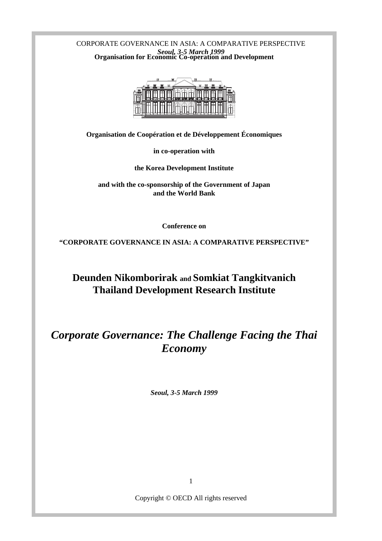CORPORATE GOVERNANCE IN ASIA: A COMPARATIVE PERSPECTIVE *Seoul, 3-5 March 1999* **Organisation for Economic Co-operation and Development**



**Organisation de Coopération et de Développement Économiques**

**in co-operation with**

**the Korea Development Institute**

**and with the co-sponsorship of the Government of Japan and the World Bank**

**Conference on**

**"CORPORATE GOVERNANCE IN ASIA: A COMPARATIVE PERSPECTIVE"**

**Deunden Nikomborirak and Somkiat Tangkitvanich Thailand Development Research Institute**

# *Corporate Governance: The Challenge Facing the Thai Economy*

*Seoul, 3-5 March 1999*

Copyright © OECD All rights reserved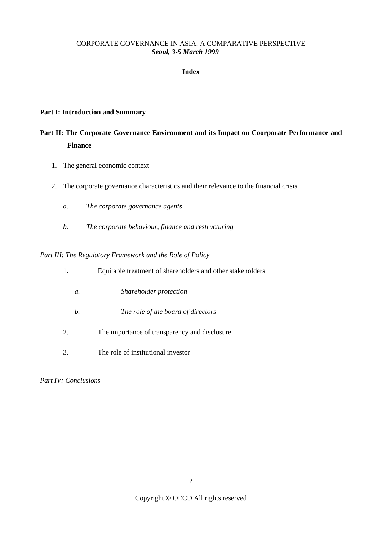#### **Index**

#### **Part I: Introduction and Summary**

## **Part II: The Corporate Governance Environment and its Impact on Coorporate Performance and Finance**

- 1. The general economic context
- 2. The corporate governance characteristics and their relevance to the financial crisis
	- *a. The corporate governance agents*
	- *b. The corporate behaviour, finance and restructuring*

*Part III: The Regulatory Framework and the Role of Policy*

| 1. | Equitable treatment of shareholders and other stakeholders |
|----|------------------------------------------------------------|
| а. | Shareholder protection                                     |
| b. | The role of the board of directors                         |
| 2. | The importance of transparency and disclosure              |

3. The role of institutional investor

*Part IV: Conclusions*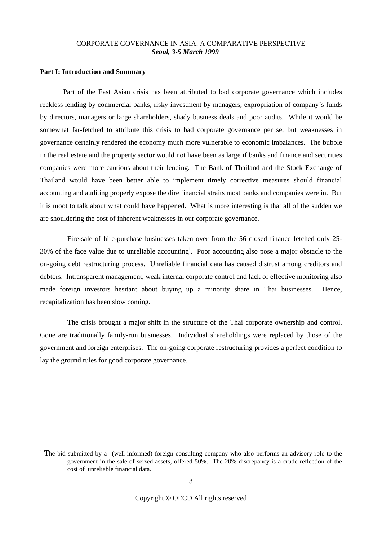#### **Part I: Introduction and Summary**

Part of the East Asian crisis has been attributed to bad corporate governance which includes reckless lending by commercial banks, risky investment by managers, expropriation of company's funds by directors, managers or large shareholders, shady business deals and poor audits. While it would be somewhat far-fetched to attribute this crisis to bad corporate governance per se, but weaknesses in governance certainly rendered the economy much more vulnerable to economic imbalances. The bubble in the real estate and the property sector would not have been as large if banks and finance and securities companies were more cautious about their lending. The Bank of Thailand and the Stock Exchange of Thailand would have been better able to implement timely corrective measures should financial accounting and auditing properly expose the dire financial straits most banks and companies were in. But it is moot to talk about what could have happened. What is more interesting is that all of the sudden we are shouldering the cost of inherent weaknesses in our corporate governance.

Fire-sale of hire-purchase businesses taken over from the 56 closed finance fetched only 25- 30% of the face value due to unreliable accounting<sup>1</sup>. Poor accounting also pose a major obstacle to the on-going debt restructuring process. Unreliable financial data has caused distrust among creditors and debtors. Intransparent management, weak internal corporate control and lack of effective monitoring also made foreign investors hesitant about buying up a minority share in Thai businesses. Hence, recapitalization has been slow coming.

The crisis brought a major shift in the structure of the Thai corporate ownership and control. Gone are traditionally family-run businesses. Individual shareholdings were replaced by those of the government and foreign enterprises. The on-going corporate restructuring provides a perfect condition to lay the ground rules for good corporate governance.

The bid submitted by a (well-informed) foreign consulting company who also performs an advisory role to the government in the sale of seized assets, offered 50%. The 20% discrepancy is a crude reflection of the cost of unreliable financial data.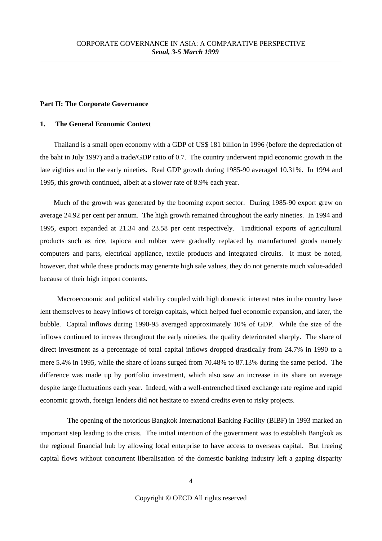#### **Part II: The Corporate Governance**

#### **1. The General Economic Context**

Thailand is a small open economy with a GDP of US\$ 181 billion in 1996 (before the depreciation of the baht in July 1997) and a trade/GDP ratio of 0.7. The country underwent rapid economic growth in the late eighties and in the early nineties. Real GDP growth during 1985-90 averaged 10.31%. In 1994 and 1995, this growth continued, albeit at a slower rate of 8.9% each year.

Much of the growth was generated by the booming export sector. During 1985-90 export grew on average 24.92 per cent per annum. The high growth remained throughout the early nineties. In 1994 and 1995, export expanded at 21.34 and 23.58 per cent respectively. Traditional exports of agricultural products such as rice, tapioca and rubber were gradually replaced by manufactured goods namely computers and parts, electrical appliance, textile products and integrated circuits. It must be noted, however, that while these products may generate high sale values, they do not generate much value-added because of their high import contents.

Macroeconomic and political stability coupled with high domestic interest rates in the country have lent themselves to heavy inflows of foreign capitals, which helped fuel economic expansion, and later, the bubble. Capital inflows during 1990-95 averaged approximately 10% of GDP. While the size of the inflows continued to increas throughout the early nineties, the quality deteriorated sharply. The share of direct investment as a percentage of total capital inflows dropped drastically from 24.7% in 1990 to a mere 5.4% in 1995, while the share of loans surged from 70.48% to 87.13% during the same period. The difference was made up by portfolio investment, which also saw an increase in its share on average despite large fluctuations each year. Indeed, with a well-entrenched fixed exchange rate regime and rapid economic growth, foreign lenders did not hesitate to extend credits even to risky projects.

The opening of the notorious Bangkok International Banking Facility (BIBF) in 1993 marked an important step leading to the crisis. The initial intention of the government was to establish Bangkok as the regional financial hub by allowing local enterprise to have access to overseas capital. But freeing capital flows without concurrent liberalisation of the domestic banking industry left a gaping disparity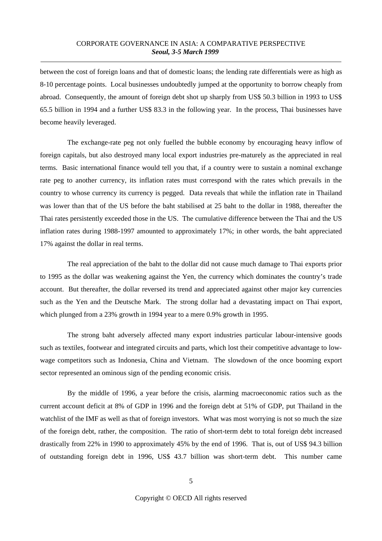between the cost of foreign loans and that of domestic loans; the lending rate differentials were as high as 8-10 percentage points. Local businesses undoubtedly jumped at the opportunity to borrow cheaply from abroad. Consequently, the amount of foreign debt shot up sharply from US\$ 50.3 billion in 1993 to US\$ 65.5 billion in 1994 and a further US\$ 83.3 in the following year. In the process, Thai businesses have become heavily leveraged.

The exchange-rate peg not only fuelled the bubble economy by encouraging heavy inflow of foreign capitals, but also destroyed many local export industries pre-maturely as the appreciated in real terms. Basic international finance would tell you that, if a country were to sustain a nominal exchange rate peg to another currency, its inflation rates must correspond with the rates which prevails in the country to whose currency its currency is pegged. Data reveals that while the inflation rate in Thailand was lower than that of the US before the baht stabilised at 25 baht to the dollar in 1988, thereafter the Thai rates persistently exceeded those in the US. The cumulative difference between the Thai and the US inflation rates during 1988-1997 amounted to approximately 17%; in other words, the baht appreciated 17% against the dollar in real terms.

The real appreciation of the baht to the dollar did not cause much damage to Thai exports prior to 1995 as the dollar was weakening against the Yen, the currency which dominates the country's trade account. But thereafter, the dollar reversed its trend and appreciated against other major key currencies such as the Yen and the Deutsche Mark. The strong dollar had a devastating impact on Thai export, which plunged from a 23% growth in 1994 year to a mere 0.9% growth in 1995.

The strong baht adversely affected many export industries particular labour-intensive goods such as textiles, footwear and integrated circuits and parts, which lost their competitive advantage to lowwage competitors such as Indonesia, China and Vietnam. The slowdown of the once booming export sector represented an ominous sign of the pending economic crisis.

By the middle of 1996, a year before the crisis, alarming macroeconomic ratios such as the current account deficit at 8% of GDP in 1996 and the foreign debt at 51% of GDP, put Thailand in the watchlist of the IMF as well as that of foreign investors. What was most worrying is not so much the size of the foreign debt, rather, the composition. The ratio of short-term debt to total foreign debt increased drastically from 22% in 1990 to approximately 45% by the end of 1996. That is, out of US\$ 94.3 billion of outstanding foreign debt in 1996, US\$ 43.7 billion was short-term debt. This number came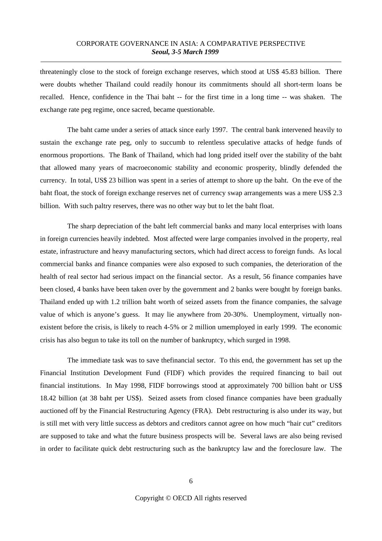threateningly close to the stock of foreign exchange reserves, which stood at US\$ 45.83 billion. There were doubts whether Thailand could readily honour its commitments should all short-term loans be recalled. Hence, confidence in the Thai baht -- for the first time in a long time -- was shaken. The exchange rate peg regime, once sacred, became questionable.

The baht came under a series of attack since early 1997. The central bank intervened heavily to sustain the exchange rate peg, only to succumb to relentless speculative attacks of hedge funds of enormous proportions. The Bank of Thailand, which had long prided itself over the stability of the baht that allowed many years of macroeconomic stability and economic prosperity, blindly defended the currency. In total, US\$ 23 billion was spent in a series of attempt to shore up the baht. On the eve of the baht float, the stock of foreign exchange reserves net of currency swap arrangements was a mere US\$ 2.3 billion. With such paltry reserves, there was no other way but to let the baht float.

The sharp depreciation of the baht left commercial banks and many local enterprises with loans in foreign currencies heavily indebted. Most affected were large companies involved in the property, real estate, infrastructure and heavy manufacturing sectors, which had direct access to foreign funds. As local commercial banks and finance companies were also exposed to such companies, the deterioration of the health of real sector had serious impact on the financial sector. As a result, 56 finance companies have been closed, 4 banks have been taken over by the government and 2 banks were bought by foreign banks. Thailand ended up with 1.2 trillion baht worth of seized assets from the finance companies, the salvage value of which is anyone's guess. It may lie anywhere from 20-30%. Unemployment, virtually nonexistent before the crisis, is likely to reach 4-5% or 2 million umemployed in early 1999. The economic crisis has also begun to take its toll on the number of bankruptcy, which surged in 1998.

The immediate task was to save thefinancial sector. To this end, the government has set up the Financial Institution Development Fund (FIDF) which provides the required financing to bail out financial institutions. In May 1998, FIDF borrowings stood at approximately 700 billion baht or US\$ 18.42 billion (at 38 baht per US\$). Seized assets from closed finance companies have been gradually auctioned off by the Financial Restructuring Agency (FRA). Debt restructuring is also under its way, but is still met with very little success as debtors and creditors cannot agree on how much "hair cut" creditors are supposed to take and what the future business prospects will be. Several laws are also being revised in order to facilitate quick debt restructuring such as the bankruptcy law and the foreclosure law. The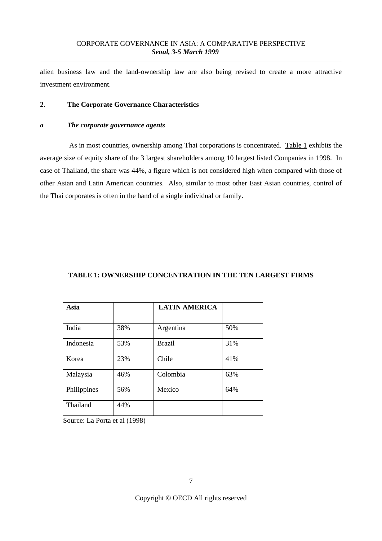alien business law and the land-ownership law are also being revised to create a more attractive investment environment.

## **2. The Corporate Governance Characteristics**

#### *a The corporate governance agents*

As in most countries, ownership among Thai corporations is concentrated. Table 1 exhibits the average size of equity share of the 3 largest shareholders among 10 largest listed Companies in 1998. In case of Thailand, the share was 44%, a figure which is not considered high when compared with those of other Asian and Latin American countries. Also, similar to most other East Asian countries, control of the Thai corporates is often in the hand of a single individual or family.

## **TABLE 1: OWNERSHIP CONCENTRATION IN THE TEN LARGEST FIRMS**

| Asia        |     | <b>LATIN AMERICA</b> |     |
|-------------|-----|----------------------|-----|
|             |     |                      |     |
| India       | 38% | Argentina            | 50% |
| Indonesia   | 53% | <b>Brazil</b>        | 31% |
| Korea       | 23% | Chile                | 41% |
| Malaysia    | 46% | Colombia             | 63% |
| Philippines | 56% | Mexico               | 64% |
| Thailand    | 44% |                      |     |

Source: La Porta et al (1998)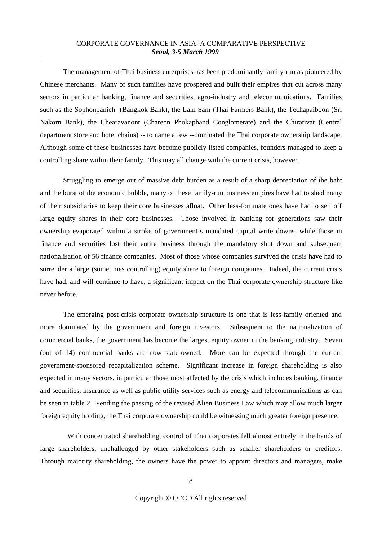The management of Thai business enterprises has been predominantly family-run as pioneered by Chinese merchants. Many of such families have prospered and built their empires that cut across many sectors in particular banking, finance and securities, agro-industry and telecommunications. Families such as the Sophonpanich (Bangkok Bank), the Lam Sam (Thai Farmers Bank), the Techapaiboon (Sri Nakorn Bank), the Chearavanont (Chareon Phokaphand Conglomerate) and the Chirativat (Central department store and hotel chains) -- to name a few --dominated the Thai corporate ownership landscape. Although some of these businesses have become publicly listed companies, founders managed to keep a controlling share within their family. This may all change with the current crisis, however.

Struggling to emerge out of massive debt burden as a result of a sharp depreciation of the baht and the burst of the economic bubble, many of these family-run business empires have had to shed many of their subsidiaries to keep their core businesses afloat. Other less-fortunate ones have had to sell off large equity shares in their core businesses. Those involved in banking for generations saw their ownership evaporated within a stroke of government's mandated capital write downs, while those in finance and securities lost their entire business through the mandatory shut down and subsequent nationalisation of 56 finance companies. Most of those whose companies survived the crisis have had to surrender a large (sometimes controlling) equity share to foreign companies. Indeed, the current crisis have had, and will continue to have, a significant impact on the Thai corporate ownership structure like never before.

The emerging post-crisis corporate ownership structure is one that is less-family oriented and more dominated by the government and foreign investors. Subsequent to the nationalization of commercial banks, the government has become the largest equity owner in the banking industry. Seven (out of 14) commercial banks are now state-owned. More can be expected through the current government-sponsored recapitalization scheme. Significant increase in foreign shareholding is also expected in many sectors, in particular those most affected by the crisis which includes banking, finance and securities, insurance as well as public utility services such as energy and telecommunications as can be seen in table 2. Pending the passing of the revised Alien Business Law which may allow much larger foreign equity holding, the Thai corporate ownership could be witnessing much greater foreign presence.

With concentrated shareholding, control of Thai corporates fell almost entirely in the hands of large shareholders, unchallenged by other stakeholders such as smaller shareholders or creditors. Through majority shareholding, the owners have the power to appoint directors and managers, make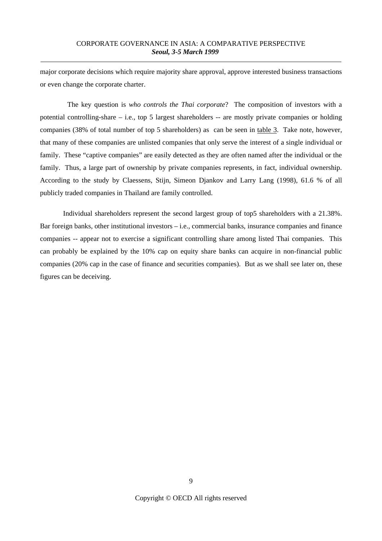major corporate decisions which require majority share approval, approve interested business transactions or even change the corporate charter.

The key question is *who controls the Thai corporate*? The composition of investors with a potential controlling-share – i.e., top 5 largest shareholders -- are mostly private companies or holding companies (38% of total number of top 5 shareholders) as can be seen in table 3. Take note, however, that many of these companies are unlisted companies that only serve the interest of a single individual or family. These "captive companies" are easily detected as they are often named after the individual or the family. Thus, a large part of ownership by private companies represents, in fact, individual ownership. According to the study by Claessens, Stijn, Simeon Djankov and Larry Lang (1998), 61.6 % of all publicly traded companies in Thailand are family controlled.

Individual shareholders represent the second largest group of top5 shareholders with a 21.38%. Bar foreign banks, other institutional investors – i.e., commercial banks, insurance companies and finance companies -- appear not to exercise a significant controlling share among listed Thai companies. This can probably be explained by the 10% cap on equity share banks can acquire in non-financial public companies (20% cap in the case of finance and securities companies). But as we shall see later on, these figures can be deceiving.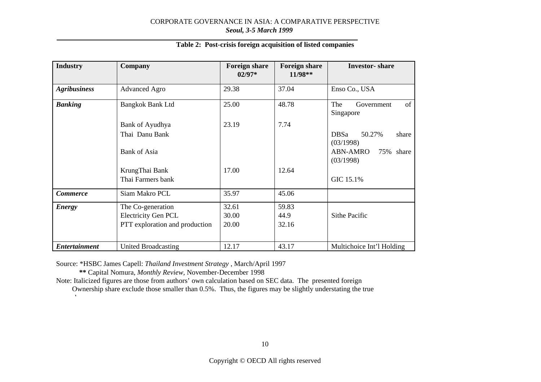| <b>Industry</b>      | Company                        | <b>Foreign share</b><br>$02/97*$ | <b>Foreign share</b><br>$11/98**$ | <b>Investor-share</b>                       |
|----------------------|--------------------------------|----------------------------------|-----------------------------------|---------------------------------------------|
| <b>Agribusiness</b>  | <b>Advanced Agro</b>           | 29.38                            | 37.04                             | Enso Co., USA                               |
| <b>Banking</b>       | Bangkok Bank Ltd               | 25.00                            | 48.78                             | of<br>The<br>Government<br>Singapore        |
|                      | Bank of Ayudhya                | 23.19                            | 7.74                              |                                             |
|                      | Thai Danu Bank                 |                                  |                                   | <b>DBSa</b><br>50.27%<br>share<br>(03/1998) |
|                      | <b>Bank of Asia</b>            |                                  |                                   | <b>ABN-AMRO</b><br>75% share<br>(03/1998)   |
|                      | KrungThai Bank                 | 17.00                            | 12.64                             |                                             |
|                      | Thai Farmers bank              |                                  |                                   | GIC 15.1%                                   |
| <b>Commerce</b>      | Siam Makro PCL                 | 35.97                            | 45.06                             |                                             |
| <b>Energy</b>        | The Co-generation              | 32.61                            | 59.83                             |                                             |
|                      | <b>Electricity Gen PCL</b>     | 30.00                            | 44.9                              | Sithe Pacific                               |
|                      | PTT exploration and production | 20.00                            | 32.16                             |                                             |
|                      |                                |                                  |                                   |                                             |
| <b>Entertainment</b> | <b>United Broadcasting</b>     | 12.17                            | 43.17                             | Multichoice Int'l Holding                   |

#### **Table 2: Post-crisis foreign acquisition of listed companies**

Source: \*HSBC James Capell: *Thailand Investment Strategy* , March/April 1997

**\*\*** Capital Nomura, *Monthly Review*, November-December 1998

Note: Italicized figures are those from authors' own calculation based on SEC data. The presented foreign

Ownership share exclude those smaller than 0.5%. Thus, the figures may be slightly understating the true h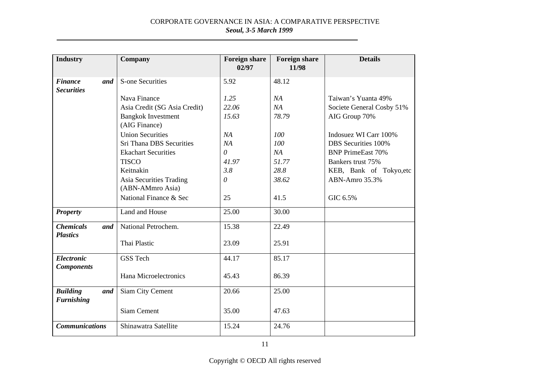| <b>Industry</b>                             | <b>Company</b>                              | <b>Foreign share</b><br>02/97 | <b>Foreign share</b><br>11/98 | <b>Details</b>            |
|---------------------------------------------|---------------------------------------------|-------------------------------|-------------------------------|---------------------------|
| <b>Finance</b><br>and<br><b>Securities</b>  | <b>S-one Securities</b>                     | 5.92                          | 48.12                         |                           |
|                                             | Nava Finance                                | 1.25                          | NA                            | Taiwan's Yuanta 49%       |
|                                             | Asia Credit (SG Asia Credit)                | 22.06                         | NA                            | Societe General Cosby 51% |
|                                             | <b>Bangkok Investment</b><br>(AIG Finance)  | 15.63                         | 78.79                         | AIG Group 70%             |
|                                             | <b>Union Securities</b>                     | NA                            | 100                           | Indosuez WI Carr 100%     |
|                                             | Sri Thana DBS Securities                    | NA                            | 100                           | DBS Securities 100%       |
|                                             | <b>Ekachart Securities</b>                  | $\theta$                      | NA                            | <b>BNP PrimeEast 70%</b>  |
|                                             | <b>TISCO</b>                                | 41.97                         | 51.77                         | Bankers trust 75%         |
|                                             | Keitnakin                                   | 3.8                           | 28.8                          | KEB, Bank of Tokyo, etc   |
|                                             | Asia Securities Trading<br>(ABN-AMmro Asia) | $\theta$                      | 38.62                         | ABN-Amro 35.3%            |
|                                             | National Finance & Sec                      | 25                            | 41.5                          | GIC 6.5%                  |
| <b>Property</b>                             | Land and House                              | 25.00                         | 30.00                         |                           |
| <b>Chemicals</b><br>and                     | National Petrochem.                         | 15.38                         | 22.49                         |                           |
| <b>Plastics</b>                             | Thai Plastic                                | 23.09                         | 25.91                         |                           |
| <b>Electronic</b><br><b>Components</b>      | <b>GSS Tech</b>                             | 44.17                         | 85.17                         |                           |
|                                             | Hana Microelectronics                       | 45.43                         | 86.39                         |                           |
| <b>Building</b><br>and<br><b>Furnishing</b> | Siam City Cement                            | 20.66                         | 25.00                         |                           |
|                                             | <b>Siam Cement</b>                          | 35.00                         | 47.63                         |                           |
| <b>Communications</b>                       | Shinawatra Satellite                        | 15.24                         | 24.76                         |                           |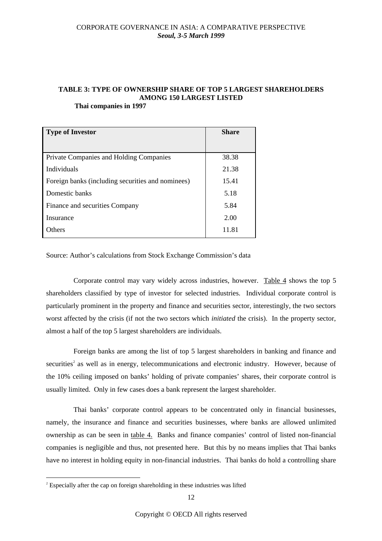## **TABLE 3: TYPE OF OWNERSHIP SHARE OF TOP 5 LARGEST SHAREHOLDERS AMONG 150 LARGEST LISTED**

**Thai companies in 1997**

| <b>Type of Investor</b>                           | <b>Share</b> |
|---------------------------------------------------|--------------|
|                                                   |              |
| Private Companies and Holding Companies           | 38.38        |
| Individuals                                       | 21.38        |
| Foreign banks (including securities and nominees) | 15.41        |
| Domestic banks                                    | 5.18         |
| Finance and securities Company                    | 5.84         |
| Insurance                                         | 2.00         |
| <b>Dthers</b>                                     | 11.81        |

Source: Author's calculations from Stock Exchange Commission's data

Corporate control may vary widely across industries, however. Table 4 shows the top 5 shareholders classified by type of investor for selected industries. Individual corporate control is particularly prominent in the property and finance and securities sector, interestingly, the two sectors worst affected by the crisis (if not the two sectors which *initiated* the crisis). In the property sector, almost a half of the top 5 largest shareholders are individuals.

Foreign banks are among the list of top 5 largest shareholders in banking and finance and securities<sup>2</sup> as well as in energy, telecommunications and electronic industry. However, because of the 10% ceiling imposed on banks' holding of private companies' shares, their corporate control is usually limited. Only in few cases does a bank represent the largest shareholder.

Thai banks' corporate control appears to be concentrated only in financial businesses, namely, the insurance and finance and securities businesses, where banks are allowed unlimited ownership as can be seen in table 4. Banks and finance companies' control of listed non-financial companies is negligible and thus, not presented here. But this by no means implies that Thai banks have no interest in holding equity in non-financial industries. Thai banks do hold a controlling share

 $2^{2}$  Especially after the cap on foreign shareholding in these industries was lifted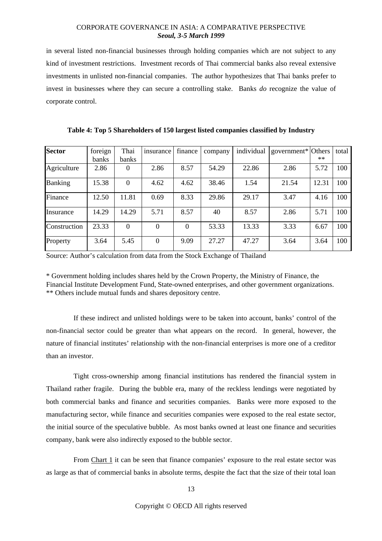in several listed non-financial businesses through holding companies which are not subject to any kind of investment restrictions. Investment records of Thai commercial banks also reveal extensive investments in unlisted non-financial companies. The author hypothesizes that Thai banks prefer to invest in businesses where they can secure a controlling stake. Banks *do* recognize the value of corporate control.

| <b>Sector</b>  | foreign | Thai           | insurance | finance  | company | individual | government* Others |       | total |
|----------------|---------|----------------|-----------|----------|---------|------------|--------------------|-------|-------|
|                | banks   | banks          |           |          |         |            |                    | $**$  |       |
| Agriculture    | 2.86    | $\theta$       | 2.86      | 8.57     | 54.29   | 22.86      | 2.86               | 5.72  | 100   |
| <b>Banking</b> | 15.38   | $\overline{0}$ | 4.62      | 4.62     | 38.46   | 1.54       | 21.54              | 12.31 | 100   |
| Finance        | 12.50   | 11.81          | 0.69      | 8.33     | 29.86   | 29.17      | 3.47               | 4.16  | 100   |
| Insurance      | 14.29   | 14.29          | 5.71      | 8.57     | 40      | 8.57       | 2.86               | 5.71  | 100   |
| Construction   | 23.33   | $\overline{0}$ | 0         | $\Omega$ | 53.33   | 13.33      | 3.33               | 6.67  | 100   |
| Property       | 3.64    | 5.45           | $\theta$  | 9.09     | 27.27   | 47.27      | 3.64               | 3.64  | 100   |

**Table 4: Top 5 Shareholders of 150 largest listed companies classified by Industry**

Source: Author's calculation from data from the Stock Exchange of Thailand

\* Government holding includes shares held by the Crown Property, the Ministry of Finance, the Financial Institute Development Fund, State-owned enterprises, and other government organizations. \*\* Others include mutual funds and shares depository centre.

If these indirect and unlisted holdings were to be taken into account, banks' control of the non-financial sector could be greater than what appears on the record. In general, however, the nature of financial institutes' relationship with the non-financial enterprises is more one of a creditor than an investor.

Tight cross-ownership among financial institutions has rendered the financial system in Thailand rather fragile. During the bubble era, many of the reckless lendings were negotiated by both commercial banks and finance and securities companies. Banks were more exposed to the manufacturing sector, while finance and securities companies were exposed to the real estate sector, the initial source of the speculative bubble. As most banks owned at least one finance and securities company, bank were also indirectly exposed to the bubble sector.

From Chart 1 it can be seen that finance companies' exposure to the real estate sector was as large as that of commercial banks in absolute terms, despite the fact that the size of their total loan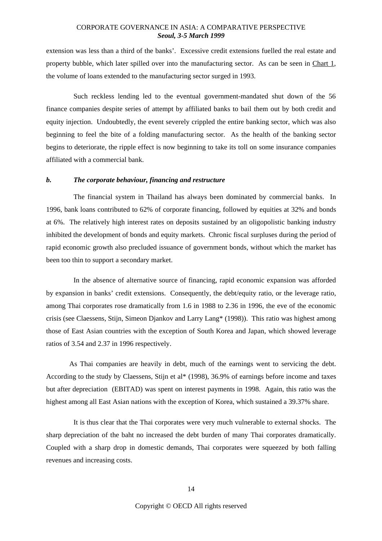extension was less than a third of the banks'. Excessive credit extensions fuelled the real estate and property bubble, which later spilled over into the manufacturing sector. As can be seen in Chart 1, the volume of loans extended to the manufacturing sector surged in 1993.

Such reckless lending led to the eventual government-mandated shut down of the 56 finance companies despite series of attempt by affiliated banks to bail them out by both credit and equity injection. Undoubtedly, the event severely crippled the entire banking sector, which was also beginning to feel the bite of a folding manufacturing sector. As the health of the banking sector begins to deteriorate, the ripple effect is now beginning to take its toll on some insurance companies affiliated with a commercial bank.

#### *b. The corporate behaviour, financing and restructure*

The financial system in Thailand has always been dominated by commercial banks. In 1996, bank loans contributed to 62% of corporate financing, followed by equities at 32% and bonds at 6%. The relatively high interest rates on deposits sustained by an oligopolistic banking industry inhibited the development of bonds and equity markets. Chronic fiscal surpluses during the period of rapid economic growth also precluded issuance of government bonds, without which the market has been too thin to support a secondary market.

In the absence of alternative source of financing, rapid economic expansion was afforded by expansion in banks' credit extensions. Consequently, the debt/equity ratio, or the leverage ratio, among Thai corporates rose dramatically from 1.6 in 1988 to 2.36 in 1996, the eve of the economic crisis (see Claessens, Stijn, Simeon Djankov and Larry Lang\* (1998)). This ratio was highest among those of East Asian countries with the exception of South Korea and Japan, which showed leverage ratios of 3.54 and 2.37 in 1996 respectively.

As Thai companies are heavily in debt, much of the earnings went to servicing the debt. According to the study by Claessens, Stijn et al\* (1998), 36.9% of earnings before income and taxes but after depreciation (EBITAD) was spent on interest payments in 1998. Again, this ratio was the highest among all East Asian nations with the exception of Korea, which sustained a 39.37% share.

It is thus clear that the Thai corporates were very much vulnerable to external shocks. The sharp depreciation of the baht no increased the debt burden of many Thai corporates dramatically. Coupled with a sharp drop in domestic demands, Thai corporates were squeezed by both falling revenues and increasing costs.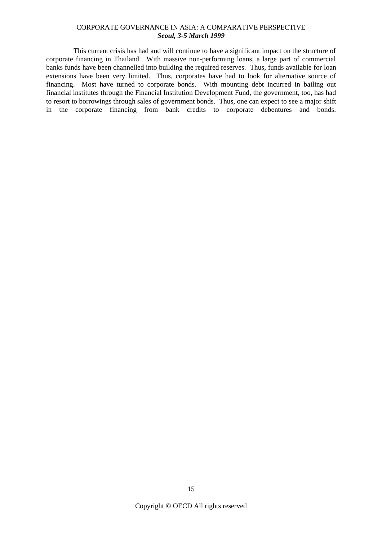This current crisis has had and will continue to have a significant impact on the structure of corporate financing in Thailand. With massive non-performing loans, a large part of commercial banks funds have been channelled into building the required reserves. Thus, funds available for loan extensions have been very limited. Thus, corporates have had to look for alternative source of financing. Most have turned to corporate bonds. With mounting debt incurred in bailing out financial institutes through the Financial Institution Development Fund, the government, too, has had to resort to borrowings through sales of government bonds. Thus, one can expect to see a major shift in the corporate financing from bank credits to corporate debentures and bonds.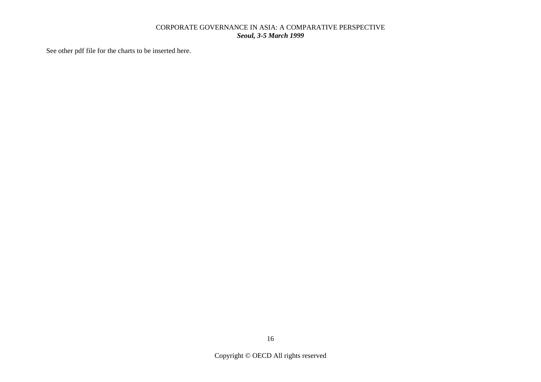See other pdf file for the charts to be inserted here.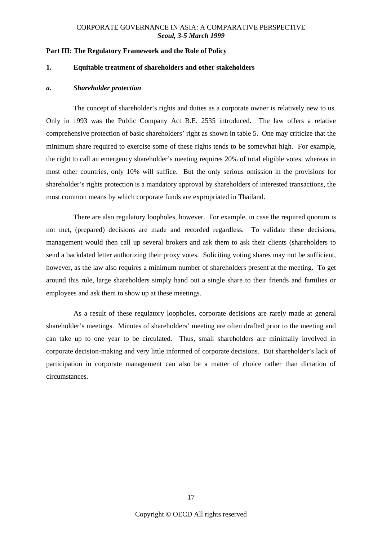#### **Part III: The Regulatory Framework and the Role of Policy**

#### **1. Equitable treatment of shareholders and other stakeholders**

#### *a. Shareholder protection*

The concept of shareholder's rights and duties as a corporate owner is relatively new to us. Only in 1993 was the Public Company Act B.E. 2535 introduced. The law offers a relative comprehensive protection of basic shareholders' right as shown in table 5. One may criticize that the minimum share required to exercise some of these rights tends to be somewhat high. For example, the right to call an emergency shareholder's meeting requires 20% of total eligible votes, whereas in most other countries, only 10% will suffice. But the only serious omission in the provisions for shareholder's rights protection is a mandatory approval by shareholders of interested transactions, the most common means by which corporate funds are expropriated in Thailand.

There are also regulatory loopholes, however. For example, in case the required quorum is not met, (prepared) decisions are made and recorded regardless. To validate these decisions, management would then call up several brokers and ask them to ask their clients (shareholders to send a backdated letter authorizing their proxy votes. Soliciting voting shares may not be sufficient, however, as the law also requires a minimum number of shareholders present at the meeting. To get around this rule, large shareholders simply hand out a single share to their friends and families or employees and ask them to show up at these meetings.

As a result of these regulatory loopholes, corporate decisions are rarely made at general shareholder's meetings. Minutes of shareholders' meeting are often drafted prior to the meeting and can take up to one year to be circulated. Thus, small shareholders are minimally involved in corporate decision-making and very little informed of corporate decisions. But shareholder's lack of participation in corporate management can also be a matter of choice rather than dictation of circumstances.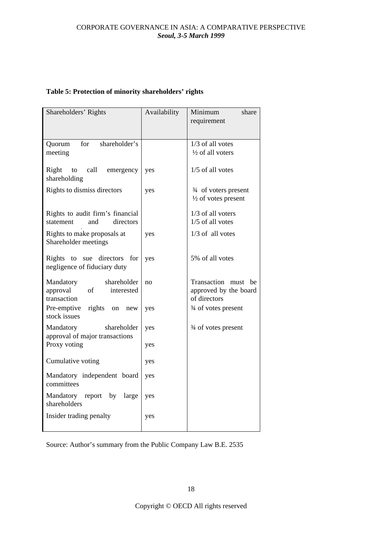| Table 5: Protection of minority shareholders' rights |  |  |  |
|------------------------------------------------------|--|--|--|
|------------------------------------------------------|--|--|--|

| Shareholders' Rights                                                    | Availability | Minimum<br>share<br>requirement                                 |
|-------------------------------------------------------------------------|--------------|-----------------------------------------------------------------|
| for<br>shareholder's<br>Quorum<br>meeting                               |              | 1/3 of all votes<br>1/2 of all voters                           |
| Right<br>call<br>emergency<br>to<br>shareholding                        | yes          | 1/5 of all votes                                                |
| Rights to dismiss directors                                             | yes          | 3/4 of voters present<br>$\frac{1}{2}$ of votes present         |
| Rights to audit firm's financial<br>directors<br>statement<br>and       |              | 1/3 of all voters<br>1/5 of all votes                           |
| Rights to make proposals at<br>Shareholder meetings                     | yes          | 1/3 of all votes                                                |
| to sue directors<br>Rights<br>for<br>negligence of fiduciary duty       | yes          | 5% of all votes                                                 |
| shareholder<br>Mandatory<br>approval<br>of<br>interested<br>transaction | no           | Transaction must<br>be<br>approved by the board<br>of directors |
| Pre-emptive<br>rights on<br>new<br>stock issues                         | yes          | 3/4 of votes present                                            |
| shareholder<br>Mandatory<br>approval of major transactions              | yes          | $\frac{3}{4}$ of votes present                                  |
| Proxy voting                                                            | yes          |                                                                 |
| Cumulative voting                                                       | yes          |                                                                 |
| Mandatory independent board<br>committees                               | yes          |                                                                 |
| Mandatory report<br>by<br>large<br>shareholders                         | yes          |                                                                 |
| Insider trading penalty                                                 | yes          |                                                                 |

Source: Author's summary from the Public Company Law B.E. 2535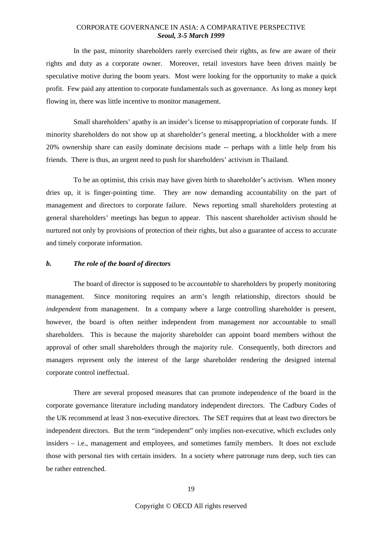In the past, minority shareholders rarely exercised their rights, as few are aware of their rights and duty as a corporate owner. Moreover, retail investors have been driven mainly be speculative motive during the boom years. Most were looking for the opportunity to make a quick profit. Few paid any attention to corporate fundamentals such as governance. As long as money kept flowing in, there was little incentive to monitor management.

Small shareholders' apathy is an insider's license to misappropriation of corporate funds. If minority shareholders do not show up at shareholder's general meeting, a blockholder with a mere 20% ownership share can easily dominate decisions made -- perhaps with a little help from his friends. There is thus, an urgent need to push for shareholders' activism in Thailand.

To be an optimist, this crisis may have given birth to shareholder's activism. When money dries up, it is finger-pointing time. They are now demanding accountability on the part of management and directors to corporate failure. News reporting small shareholders protesting at general shareholders' meetings has begun to appear. This nascent shareholder activism should be nurtured not only by provisions of protection of their rights, but also a guarantee of access to accurate and timely corporate information.

#### *b. The role of the board of directors*

The board of director is supposed to be *accountable* to shareholders by properly monitoring management. Since monitoring requires an arm's length relationship, directors should be *independent* from management. In a company where a large controlling shareholder is present, however, the board is often neither independent from management nor accountable to small shareholders. This is because the majority shareholder can appoint board members without the approval of other small shareholders through the majority rule. Consequently, both directors and managers represent only the interest of the large shareholder rendering the designed internal corporate control ineffectual.

There are several proposed measures that can promote independence of the board in the corporate governance literature including mandatory independent directors. The Cadbury Codes of the UK recommend at least 3 non-executive directors. The SET requires that at least two directors be independent directors. But the term "independent" only implies non-executive, which excludes only insiders – i.e., management and employees, and sometimes family members. It does not exclude those with personal ties with certain insiders. In a society where patronage runs deep, such ties can be rather entrenched.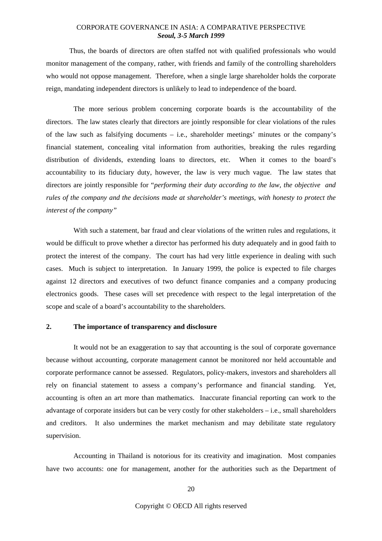Thus, the boards of directors are often staffed not with qualified professionals who would monitor management of the company, rather, with friends and family of the controlling shareholders who would not oppose management. Therefore, when a single large shareholder holds the corporate reign, mandating independent directors is unlikely to lead to independence of the board.

The more serious problem concerning corporate boards is the accountability of the directors. The law states clearly that directors are jointly responsible for clear violations of the rules of the law such as falsifying documents – i.e., shareholder meetings' minutes or the company's financial statement, concealing vital information from authorities, breaking the rules regarding distribution of dividends, extending loans to directors, etc. When it comes to the board's accountability to its fiduciary duty, however, the law is very much vague. The law states that directors are jointly responsible for "*performing their duty according to the law, the objective and rules of the company and the decisions made at shareholder's meetings, with honesty to protect the interest of the company"*

With such a statement, bar fraud and clear violations of the written rules and regulations, it would be difficult to prove whether a director has performed his duty adequately and in good faith to protect the interest of the company. The court has had very little experience in dealing with such cases. Much is subject to interpretation. In January 1999, the police is expected to file charges against 12 directors and executives of two defunct finance companies and a company producing electronics goods. These cases will set precedence with respect to the legal interpretation of the scope and scale of a board's accountability to the shareholders.

#### **2. The importance of transparency and disclosure**

It would not be an exaggeration to say that accounting is the soul of corporate governance because without accounting, corporate management cannot be monitored nor held accountable and corporate performance cannot be assessed. Regulators, policy-makers, investors and shareholders all rely on financial statement to assess a company's performance and financial standing. Yet, accounting is often an art more than mathematics. Inaccurate financial reporting can work to the advantage of corporate insiders but can be very costly for other stakeholders – i.e., small shareholders and creditors. It also undermines the market mechanism and may debilitate state regulatory supervision.

Accounting in Thailand is notorious for its creativity and imagination. Most companies have two accounts: one for management, another for the authorities such as the Department of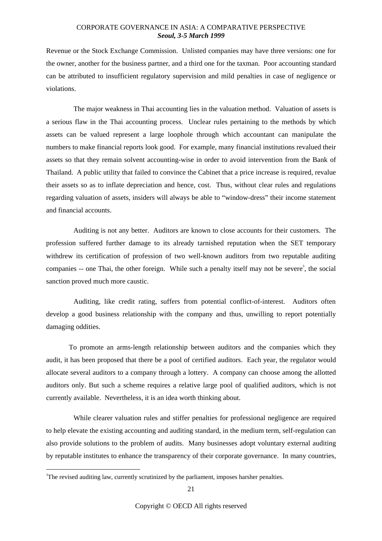Revenue or the Stock Exchange Commission. Unlisted companies may have three versions: one for the owner, another for the business partner, and a third one for the taxman. Poor accounting standard can be attributed to insufficient regulatory supervision and mild penalties in case of negligence or violations.

The major weakness in Thai accounting lies in the valuation method. Valuation of assets is a serious flaw in the Thai accounting process. Unclear rules pertaining to the methods by which assets can be valued represent a large loophole through which accountant can manipulate the numbers to make financial reports look good. For example, many financial institutions revalued their assets so that they remain solvent accounting-wise in order to avoid intervention from the Bank of Thailand. A public utility that failed to convince the Cabinet that a price increase is required, revalue their assets so as to inflate depreciation and hence, cost. Thus, without clear rules and regulations regarding valuation of assets, insiders will always be able to "window-dress" their income statement and financial accounts.

Auditing is not any better. Auditors are known to close accounts for their customers. The profession suffered further damage to its already tarnished reputation when the SET temporary withdrew its certification of profession of two well-known auditors from two reputable auditing companies  $-$  one Thai, the other foreign. While such a penalty itself may not be severe<sup>3</sup>, the social sanction proved much more caustic.

Auditing, like credit rating, suffers from potential conflict-of-interest. Auditors often develop a good business relationship with the company and thus, unwilling to report potentially damaging oddities.

To promote an arms-length relationship between auditors and the companies which they audit, it has been proposed that there be a pool of certified auditors. Each year, the regulator would allocate several auditors to a company through a lottery. A company can choose among the allotted auditors only. But such a scheme requires a relative large pool of qualified auditors, which is not currently available. Nevertheless, it is an idea worth thinking about.

While clearer valuation rules and stiffer penalties for professional negligence are required to help elevate the existing accounting and auditing standard, in the medium term, self-regulation can also provide solutions to the problem of audits. Many businesses adopt voluntary external auditing by reputable institutes to enhance the transparency of their corporate governance. In many countries,

<sup>&</sup>lt;sup>3</sup>The revised auditing law, currently scrutinized by the parliament, imposes harsher penalties.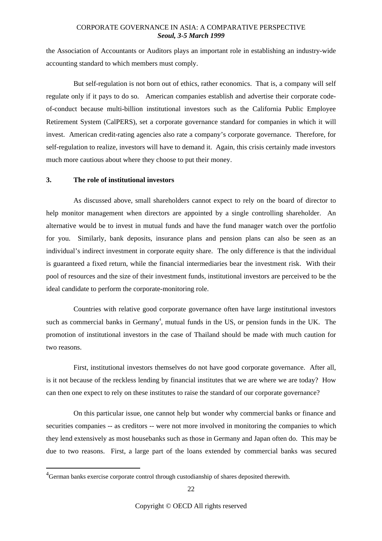the Association of Accountants or Auditors plays an important role in establishing an industry-wide accounting standard to which members must comply.

But self-regulation is not born out of ethics, rather economics. That is, a company will self regulate only if it pays to do so. American companies establish and advertise their corporate codeof-conduct because multi-billion institutional investors such as the California Public Employee Retirement System (CalPERS), set a corporate governance standard for companies in which it will invest. American credit-rating agencies also rate a company's corporate governance. Therefore, for self-regulation to realize, investors will have to demand it. Again, this crisis certainly made investors much more cautious about where they choose to put their money.

#### **3. The role of institutional investors**

As discussed above, small shareholders cannot expect to rely on the board of director to help monitor management when directors are appointed by a single controlling shareholder. An alternative would be to invest in mutual funds and have the fund manager watch over the portfolio for you. Similarly, bank deposits, insurance plans and pension plans can also be seen as an individual's indirect investment in corporate equity share. The only difference is that the individual is guaranteed a fixed return, while the financial intermediaries bear the investment risk. With their pool of resources and the size of their investment funds, institutional investors are perceived to be the ideal candidate to perform the corporate-monitoring role.

Countries with relative good corporate governance often have large institutional investors such as commercial banks in Germany<sup>4</sup>, mutual funds in the US, or pension funds in the UK. The promotion of institutional investors in the case of Thailand should be made with much caution for two reasons.

First, institutional investors themselves do not have good corporate governance. After all, is it not because of the reckless lending by financial institutes that we are where we are today? How can then one expect to rely on these institutes to raise the standard of our corporate governance?

On this particular issue, one cannot help but wonder why commercial banks or finance and securities companies -- as creditors -- were not more involved in monitoring the companies to which they lend extensively as most housebanks such as those in Germany and Japan often do. This may be due to two reasons. First, a large part of the loans extended by commercial banks was secured

<sup>&</sup>lt;sup>4</sup>German banks exercise corporate control through custodianship of shares deposited therewith.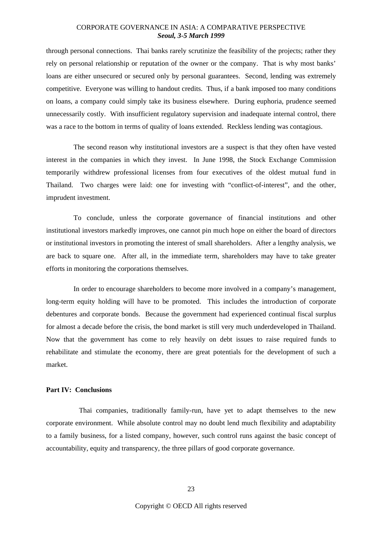through personal connections. Thai banks rarely scrutinize the feasibility of the projects; rather they rely on personal relationship or reputation of the owner or the company. That is why most banks' loans are either unsecured or secured only by personal guarantees. Second, lending was extremely competitive. Everyone was willing to handout credits. Thus, if a bank imposed too many conditions on loans, a company could simply take its business elsewhere. During euphoria, prudence seemed unnecessarily costly. With insufficient regulatory supervision and inadequate internal control, there was a race to the bottom in terms of quality of loans extended. Reckless lending was contagious.

The second reason why institutional investors are a suspect is that they often have vested interest in the companies in which they invest. In June 1998, the Stock Exchange Commission temporarily withdrew professional licenses from four executives of the oldest mutual fund in Thailand. Two charges were laid: one for investing with "conflict-of-interest", and the other, imprudent investment.

To conclude, unless the corporate governance of financial institutions and other institutional investors markedly improves, one cannot pin much hope on either the board of directors or institutional investors in promoting the interest of small shareholders. After a lengthy analysis, we are back to square one. After all, in the immediate term, shareholders may have to take greater efforts in monitoring the corporations themselves.

In order to encourage shareholders to become more involved in a company's management, long-term equity holding will have to be promoted. This includes the introduction of corporate debentures and corporate bonds. Because the government had experienced continual fiscal surplus for almost a decade before the crisis, the bond market is still very much underdeveloped in Thailand. Now that the government has come to rely heavily on debt issues to raise required funds to rehabilitate and stimulate the economy, there are great potentials for the development of such a market.

## **Part IV: Conclusions**

Thai companies, traditionally family-run, have yet to adapt themselves to the new corporate environment. While absolute control may no doubt lend much flexibility and adaptability to a family business, for a listed company, however, such control runs against the basic concept of accountability, equity and transparency, the three pillars of good corporate governance.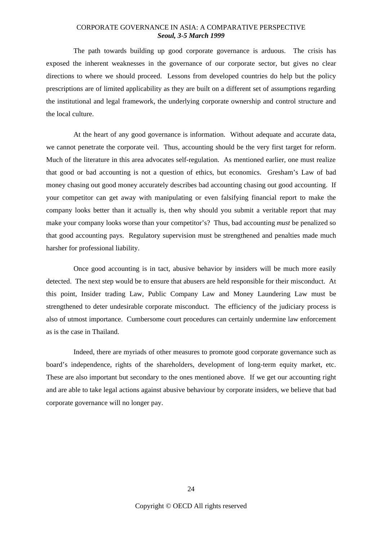The path towards building up good corporate governance is arduous. The crisis has exposed the inherent weaknesses in the governance of our corporate sector, but gives no clear directions to where we should proceed. Lessons from developed countries do help but the policy prescriptions are of limited applicability as they are built on a different set of assumptions regarding the institutional and legal framework, the underlying corporate ownership and control structure and the local culture.

At the heart of any good governance is information. Without adequate and accurate data, we cannot penetrate the corporate veil. Thus, accounting should be the very first target for reform. Much of the literature in this area advocates self-regulation. As mentioned earlier, one must realize that good or bad accounting is not a question of ethics, but economics. Gresham's Law of bad money chasing out good money accurately describes bad accounting chasing out good accounting. If your competitor can get away with manipulating or even falsifying financial report to make the company looks better than it actually is, then why should you submit a veritable report that may make your company looks worse than your competitor's? Thus, bad accounting *must* be penalized so that good accounting pays. Regulatory supervision must be strengthened and penalties made much harsher for professional liability.

Once good accounting is in tact, abusive behavior by insiders will be much more easily detected. The next step would be to ensure that abusers are held responsible for their misconduct. At this point, Insider trading Law, Public Company Law and Money Laundering Law must be strengthened to deter undesirable corporate misconduct. The efficiency of the judiciary process is also of utmost importance. Cumbersome court procedures can certainly undermine law enforcement as is the case in Thailand.

Indeed, there are myriads of other measures to promote good corporate governance such as board's independence, rights of the shareholders, development of long-term equity market, etc. These are also important but secondary to the ones mentioned above. If we get our accounting right and are able to take legal actions against abusive behaviour by corporate insiders, we believe that bad corporate governance will no longer pay.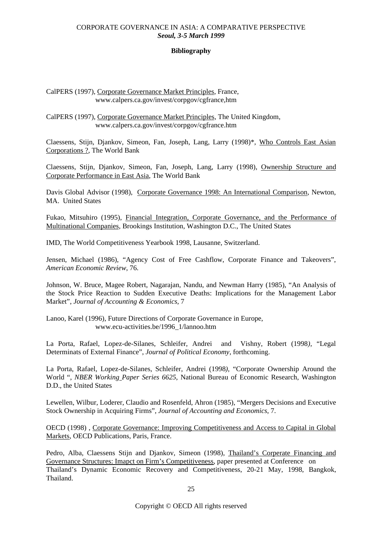## **Bibliography**

CalPERS (1997), Corporate Governance Market Principles, France, www.calpers.ca.gov/invest/corpgov/cgfrance,htm

CalPERS (1997), Corporate Governance Market Principles, The United Kingdom, www.calpers.ca.gov/invest/corpgov/cgfrance.htm

Claessens, Stijn, Djankov, Simeon, Fan, Joseph, Lang, Larry (1998)\*, Who Controls East Asian Corporations ?, The World Bank

Claessens, Stijn, Djankov, Simeon, Fan, Joseph, Lang, Larry (1998), Ownership Structure and Corporate Performance in East Asia, The World Bank

Davis Global Advisor (1998), Corporate Governance 1998: An International Comparison, Newton, MA. United States

Fukao, Mitsuhiro (1995), Financial Integration, Corporate Governance, and the Performance of Multinational Companies, Brookings Institution, Washington D.C., The United States

IMD, The World Competitiveness Yearbook 1998, Lausanne, Switzerland.

Jensen, Michael (1986), "Agency Cost of Free Cashflow, Corporate Finance and Takeovers", *American Economic Review*, 76.

Johnson, W. Bruce, Magee Robert, Nagarajan, Nandu, and Newman Harry (1985), "An Analysis of the Stock Price Reaction to Sudden Executive Deaths: Implications for the Management Labor Market", *Journal of Accounting & Economics,* 7

Lanoo, Karel (1996), Future Directions of Corporate Governance in Europe, www.ecu-activities.be/1996\_1/lannoo.htm

La Porta, Rafael, Lopez-de-Silanes, Schleifer, Andrei and Vishny, Robert (1998*),* "Legal Determinats of External Finance", *Journal of Political Economy*, forthcoming.

La Porta, Rafael, Lopez-de-Silanes, Schleifer, Andrei (1998*),* "Corporate Ownership Around the World ", *NBER Working Paper Series 6625*, National Bureau of Economic Research, Washington D.D., the United States

Lewellen, Wilbur, Loderer, Claudio and Rosenfeld, Ahron (1985), "Mergers Decisions and Executive Stock Ownership in Acquiring Firms", *Journal of Accounting and Economics*, 7.

OECD (1998) , Corporate Governance: Improving Competitiveness and Access to Capital in Global Markets, OECD Publications, Paris, France.

Pedro, Alba, Claessens Stijn and Djankov, Simeon (1998), Thailand's Corperate Financing and Governance Structures: Imapct on Firm's Competitiveness, paper presented at Conference on Thailand's Dynamic Economic Recovery and Competitiveness, 20-21 May, 1998, Bangkok, Thailand.

Copyright © OECD All rights reserved